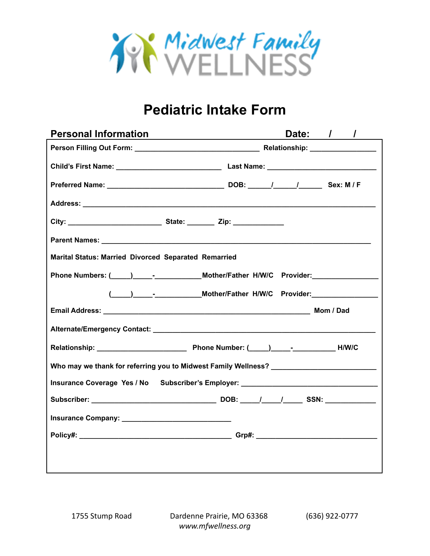

# **Pediatric Intake Form**

| <b>Personal Information</b>                                                       | Date: / /<br><u> 1980 - Johann John Stein, fransk politik (</u> † 1910)          |  |  |
|-----------------------------------------------------------------------------------|----------------------------------------------------------------------------------|--|--|
|                                                                                   |                                                                                  |  |  |
|                                                                                   |                                                                                  |  |  |
|                                                                                   |                                                                                  |  |  |
|                                                                                   |                                                                                  |  |  |
|                                                                                   |                                                                                  |  |  |
|                                                                                   |                                                                                  |  |  |
| Marital Status: Married Divorced Separated Remarried                              |                                                                                  |  |  |
|                                                                                   | Phone Numbers: (____)______-_______________Mother/Father H/W/C Provider:         |  |  |
|                                                                                   | ( ____ ) ______- _______________Mother/Father H/W/C Provider: __________________ |  |  |
|                                                                                   |                                                                                  |  |  |
|                                                                                   |                                                                                  |  |  |
|                                                                                   |                                                                                  |  |  |
| Who may we thank for referring you to Midwest Family Wellness? __________________ |                                                                                  |  |  |
| Insurance Coverage Yes / No Subscriber's Employer: _____________________________  |                                                                                  |  |  |
|                                                                                   |                                                                                  |  |  |
|                                                                                   |                                                                                  |  |  |
|                                                                                   |                                                                                  |  |  |
|                                                                                   |                                                                                  |  |  |
|                                                                                   |                                                                                  |  |  |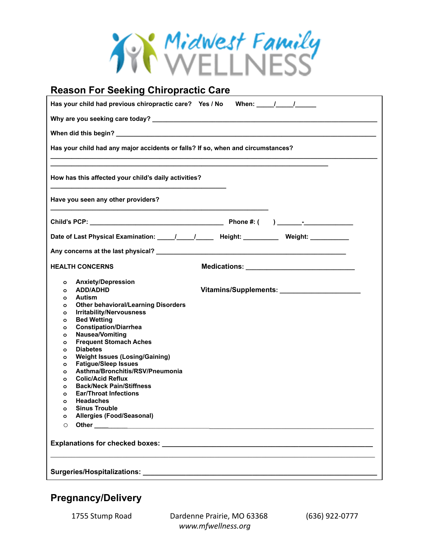

#### **Reason For Seeking Chiropractic Care** Has your child had previous chiropractic care? Yes / No When: \_\_\_\_\_/ \_\_\_\_\_/ **Why are you seeking care today? \_\_\_\_\_\_\_\_\_\_\_\_\_\_\_\_\_\_\_\_\_\_\_\_\_\_\_\_\_\_\_\_\_\_\_\_\_\_\_\_\_\_\_\_\_\_\_\_\_\_\_\_\_\_\_\_\_\_\_\_\_\_\_\_** When did this begin? **Has your child had any major accidents or falls? If so, when and circumstances? \_\_\_\_\_\_\_\_\_\_\_\_\_\_\_\_\_\_\_\_\_\_\_\_\_\_\_\_\_\_\_\_\_\_\_\_\_\_\_\_\_\_\_\_\_\_\_\_\_\_\_\_\_\_\_\_\_\_\_\_\_\_\_\_\_\_\_\_\_\_\_\_\_\_\_\_\_\_\_\_\_\_\_\_\_\_\_\_\_\_\_\_\_ \_\_\_\_\_\_\_\_\_\_\_\_\_\_\_\_\_\_\_\_\_\_\_\_\_\_\_\_\_\_\_\_\_\_\_\_\_\_\_\_\_\_\_\_\_\_\_\_\_\_\_\_\_\_\_\_\_\_\_\_\_\_\_\_\_\_\_\_\_\_\_\_\_\_\_\_\_\_\_ How has this affected your child's daily activities? \_\_\_\_\_\_\_\_\_\_\_\_\_\_\_\_\_\_\_\_\_\_\_\_\_\_\_\_\_\_\_\_\_\_\_\_\_\_\_\_\_\_\_\_\_\_\_\_\_\_ Have you seen any other providers? \_\_\_\_\_\_\_\_\_\_\_\_\_\_\_\_\_\_\_\_\_\_\_\_\_\_\_\_\_\_\_\_\_\_\_\_\_\_\_\_\_\_\_\_\_\_\_\_\_\_\_\_\_\_\_\_\_\_\_\_\_\_ Child's PCP: \_\_\_\_\_\_\_\_\_\_\_\_\_\_\_\_\_\_\_\_\_\_\_\_\_\_\_\_\_\_\_\_\_\_\_\_\_\_ Phone #: ( ) \_\_\_\_\_\_\_-\_\_\_\_\_\_\_\_\_\_\_\_\_\_ Date of Last Physical Examination: \_\_\_\_\_/\_\_\_\_\_/\_\_\_\_\_ Height: \_\_\_\_\_\_\_\_\_\_ Weight: \_\_\_\_\_\_\_\_\_\_\_ Any concerns at the last physical? \_\_\_\_\_\_\_\_\_\_\_\_\_\_\_\_\_\_\_\_\_\_\_\_\_\_\_\_\_\_\_\_\_\_\_\_\_\_\_\_\_\_\_\_\_\_\_\_\_\_\_\_\_\_ HEALTH CONCERNS Medications: \_\_\_\_\_\_\_\_\_\_\_\_\_\_\_\_\_\_\_\_\_\_\_\_\_\_\_\_\_\_\_ o Anxiety/Depression o ADD/ADHD Vitamins/Supplements: \_\_\_\_\_\_\_\_\_\_\_\_\_\_\_\_\_\_\_\_\_\_\_ o Autism o Other behavioral/Learning Disorders o Irritability/Nervousness o Bed Wetting o Constipation/Diarrhea o Nausea/Vomiting o Frequent Stomach Aches o Diabetes o Weight Issues (Losing/Gaining) o Fatigue/Sleep Issues o Asthma/Bronchitis/RSV/Pneumonia o Colic/Acid Reflux o Back/Neck Pain/Stiffness o Ear/Throat Infections o Headaches o Sinus Trouble o Allergies (Food/Seasonal)** o **Other \_\_\_\_\_\_\_\_\_\_**\_\_\_\_\_\_\_\_\_\_\_\_\_\_\_\_\_\_\_\_\_\_\_\_\_\_\_\_\_\_\_\_\_\_\_\_\_\_\_\_\_\_\_\_\_\_\_\_\_\_\_\_\_\_\_\_\_\_\_\_\_\_\_\_\_ **Explanations for checked boxes: \_\_\_\_\_\_\_\_\_\_\_\_\_\_\_\_\_\_\_\_\_\_\_\_\_\_\_\_\_\_\_\_\_\_\_\_\_\_\_\_\_\_\_\_\_\_\_\_\_\_\_\_\_\_**  $\mathcal{L}_\mathcal{L} = \{ \mathcal{L}_\mathcal{L} = \{ \mathcal{L}_\mathcal{L} = \{ \mathcal{L}_\mathcal{L} = \{ \mathcal{L}_\mathcal{L} = \{ \mathcal{L}_\mathcal{L} = \{ \mathcal{L}_\mathcal{L} = \{ \mathcal{L}_\mathcal{L} = \{ \mathcal{L}_\mathcal{L} = \{ \mathcal{L}_\mathcal{L} = \{ \mathcal{L}_\mathcal{L} = \{ \mathcal{L}_\mathcal{L} = \{ \mathcal{L}_\mathcal{L} = \{ \mathcal{L}_\mathcal{L} = \{ \mathcal{L}_\mathcal{$  $\bf\textit{Surgeries/Hospitalizations:}$

## **Pregnancy/Delivery**

1755 Stump Road Dardenne Prairie, MO 63368 (636) 922-0777 *www.mfwellness.org*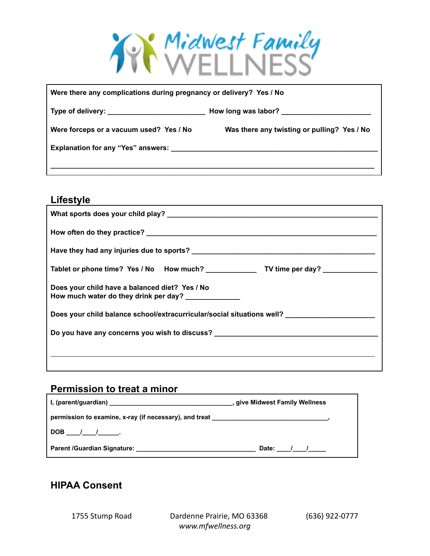

| Were there any complications during pregnancy or delivery? Yes / No |                                             |  |  |
|---------------------------------------------------------------------|---------------------------------------------|--|--|
| Type of delivery: ______________________________                    |                                             |  |  |
| Were forceps or a vacuum used? Yes / No                             | Was there any twisting or pulling? Yes / No |  |  |
|                                                                     |                                             |  |  |
|                                                                     |                                             |  |  |

### **Lifestyle**

| Does your child have a balanced diet? Yes / No<br>How much water do they drink per day? _____________ |  |  |  |
|-------------------------------------------------------------------------------------------------------|--|--|--|
| Does your child balance school/extracurricular/social situations well?                                |  |  |  |
| Do you have any concerns you wish to discuss? __________________________________                      |  |  |  |
|                                                                                                       |  |  |  |
|                                                                                                       |  |  |  |

# **Permission to treat a minor**

|                                                                                                              | , give Midwest Family Wellness |
|--------------------------------------------------------------------------------------------------------------|--------------------------------|
| permission to examine, x-ray (if necessary), and treat <b>with the control of the control of the control</b> |                                |
| DOB / / .                                                                                                    |                                |
| Parent /Guardian Signature: _______                                                                          | Date: $/$ /                    |

## **HIPAA Consent**

1755 Stump Road Dardenne Prairie, MO 63368 (636) 922-0777 *www.mfwellness.org*